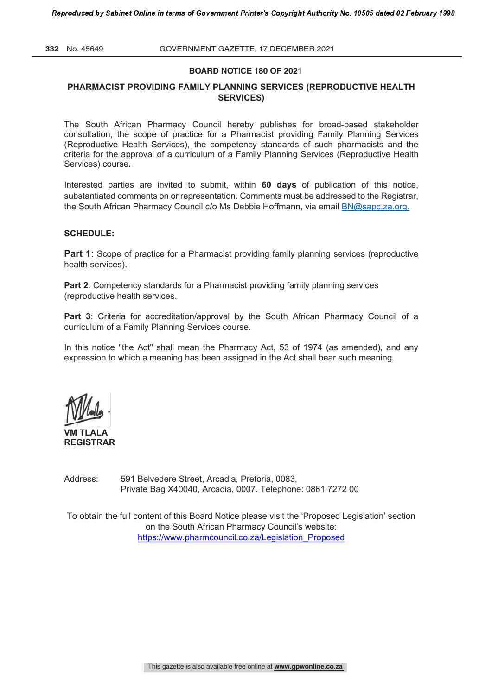#### **BOARD NOTICE 180 OF 2021**

#### **PHARMACIST PROVIDING FAMILY PLANNING SERVICES (REPRODUCTIVE HEALTH SERVICES)**

The South African Pharmacy Council hereby publishes for broad-based stakeholder consultation, the scope of practice for a Pharmacist providing Family Planning Services (Reproductive Health Services), the competency standards of such pharmacists and the criteria for the approval of a curriculum of a Family Planning Services (Reproductive Health Services) course**.** 

Interested parties are invited to submit, within **60 days** of publication of this notice, substantiated comments on or representation. Comments must be addressed to the Registrar, the South African Pharmacy Council c/o Ms Debbie Hoffmann, via email BN@sapc.za.org.

#### **SCHEDULE:**

**Part 1**: Scope of practice for a Pharmacist providing family planning services (reproductive health services).

**Part 2:** Competency standards for a Pharmacist providing family planning services (reproductive health services.

Part 3: Criteria for accreditation/approval by the South African Pharmacy Council of a curriculum of a Family Planning Services course.

In this notice ''the Act" shall mean the Pharmacy Act, 53 of 1974 (as amended), and any expression to which a meaning has been assigned in the Act shall bear such meaning.

**VM TLALA REGISTRAR**

Address: 591 Belvedere Street, Arcadia, Pretoria, 0083, Private Bag X40040, Arcadia, 0007. Telephone: 0861 7272 00

To obtain the full content of this Board Notice please visit the 'Proposed Legislation' section on the South African Pharmacy Council's website: https://www.pharmcouncil.co.za/Legislation\_Proposed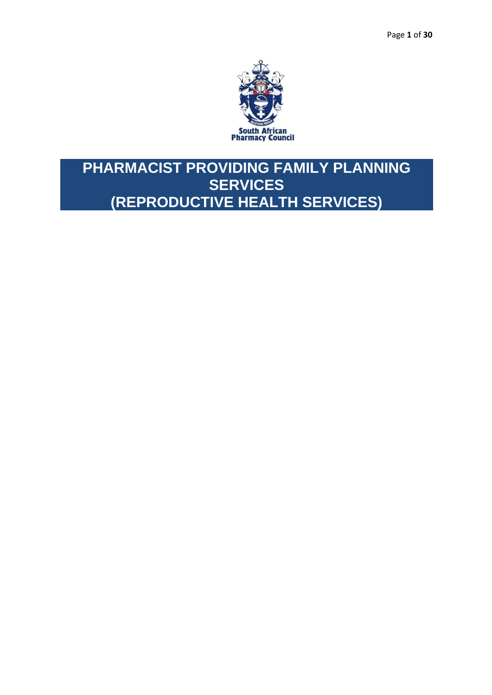

# **PHARMACIST PROVIDING FAMILY PLANNING SERVICES (REPRODUCTIVE HEALTH SERVICES)**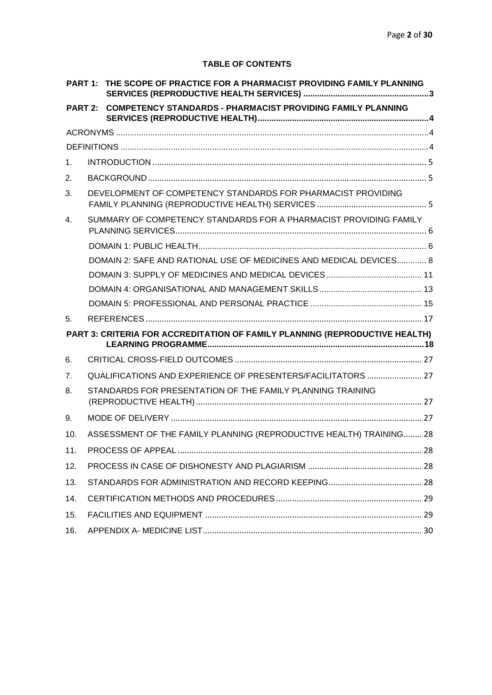## **TABLE OF CONTENTS**

| PART 1:        | THE SCOPE OF PRACTICE FOR A PHARMACIST PROVIDING FAMILY PLANNING            |  |
|----------------|-----------------------------------------------------------------------------|--|
| <b>PART 2:</b> | <b>COMPETENCY STANDARDS - PHARMACIST PROVIDING FAMILY PLANNING</b>          |  |
|                |                                                                             |  |
|                |                                                                             |  |
| 1 <sub>1</sub> |                                                                             |  |
| 2.             |                                                                             |  |
| 3.             | DEVELOPMENT OF COMPETENCY STANDARDS FOR PHARMACIST PROVIDING                |  |
| 4.             | SUMMARY OF COMPETENCY STANDARDS FOR A PHARMACIST PROVIDING FAMILY           |  |
|                |                                                                             |  |
|                | DOMAIN 2: SAFE AND RATIONAL USE OF MEDICINES AND MEDICAL DEVICES 8          |  |
|                |                                                                             |  |
|                |                                                                             |  |
|                |                                                                             |  |
| 5.             |                                                                             |  |
|                | PART 3: CRITERIA FOR ACCREDITATION OF FAMILY PLANNING (REPRODUCTIVE HEALTH) |  |
| 6.             |                                                                             |  |
| 7 <sub>1</sub> | QUALIFICATIONS AND EXPERIENCE OF PRESENTERS/FACILITATORS  27                |  |
| 8.             | STANDARDS FOR PRESENTATION OF THE FAMILY PLANNING TRAINING                  |  |
| 9.             |                                                                             |  |
| 10.            | ASSESSMENT OF THE FAMILY PLANNING (REPRODUCTIVE HEALTH) TRAINING 28         |  |
| 11.            |                                                                             |  |
| 12.            |                                                                             |  |
| 13.            |                                                                             |  |
| 14.            |                                                                             |  |
| 15.            |                                                                             |  |
| 16.            |                                                                             |  |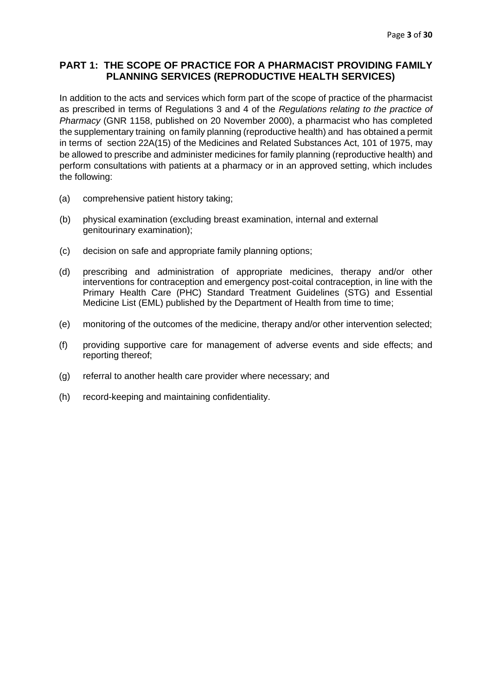## <span id="page-3-0"></span>**PART 1: THE SCOPE OF PRACTICE FOR A PHARMACIST PROVIDING FAMILY PLANNING SERVICES (REPRODUCTIVE HEALTH SERVICES)**

In addition to the acts and services which form part of the scope of practice of the pharmacist as prescribed in terms of Regulations 3 and 4 of the *Regulations relating to the practice of Pharmacy* (GNR 1158, published on 20 November 2000), a pharmacist who has completed the supplementary training on family planning (reproductive health) and has obtained a permit in terms of section 22A(15) of the Medicines and Related Substances Act, 101 of 1975, may be allowed to prescribe and administer medicines for family planning (reproductive health) and perform consultations with patients at a pharmacy or in an approved setting, which includes the following:

- (a) comprehensive patient history taking;
- (b) physical examination (excluding breast examination, internal and external genitourinary examination);
- (c) decision on safe and appropriate family planning options;
- (d) prescribing and administration of appropriate medicines, therapy and/or other interventions for contraception and emergency post-coital contraception, in line with the Primary Health Care (PHC) Standard Treatment Guidelines (STG) and Essential Medicine List (EML) published by the Department of Health from time to time;
- (e) monitoring of the outcomes of the medicine, therapy and/or other intervention selected;
- (f) providing supportive care for management of adverse events and side effects; and reporting thereof;
- (g) referral to another health care provider where necessary; and
- (h) record-keeping and maintaining confidentiality.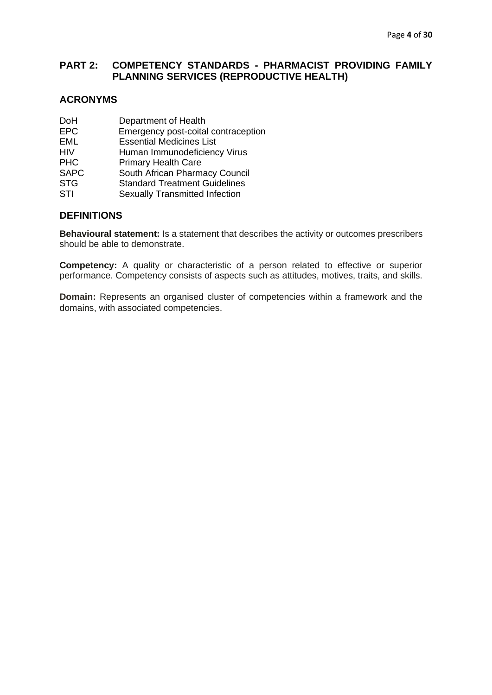## <span id="page-4-0"></span>**PART 2: COMPETENCY STANDARDS - PHARMACIST PROVIDING FAMILY PLANNING SERVICES (REPRODUCTIVE HEALTH)**

## <span id="page-4-1"></span>**ACRONYMS**

| DoH         | Department of Health                  |
|-------------|---------------------------------------|
| <b>EPC</b>  | Emergency post-coital contraception   |
| EML         | <b>Essential Medicines List</b>       |
| HIV         | Human Immunodeficiency Virus          |
| <b>PHC</b>  | <b>Primary Health Care</b>            |
| <b>SAPC</b> | South African Pharmacy Council        |
| <b>STG</b>  | <b>Standard Treatment Guidelines</b>  |
| STI         | <b>Sexually Transmitted Infection</b> |

## <span id="page-4-2"></span>**DEFINITIONS**

**Behavioural statement:** Is a statement that describes the activity or outcomes prescribers should be able to demonstrate.

**Competency:** A quality or characteristic of a person related to effective or superior performance. Competency consists of aspects such as attitudes, motives, traits, and skills.

**Domain:** Represents an organised cluster of competencies within a framework and the domains, with associated competencies.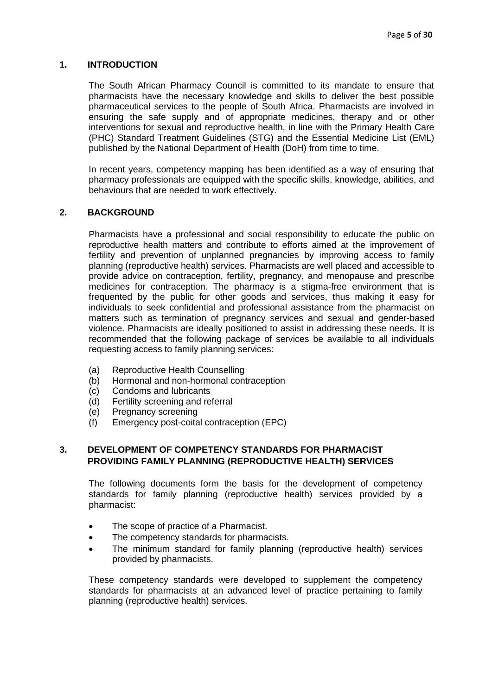#### <span id="page-5-0"></span>**1. INTRODUCTION**

The South African Pharmacy Council is committed to its mandate to ensure that pharmacists have the necessary knowledge and skills to deliver the best possible pharmaceutical services to the people of South Africa. Pharmacists are involved in ensuring the safe supply and of appropriate medicines, therapy and or other interventions for sexual and reproductive health, in line with the Primary Health Care (PHC) Standard Treatment Guidelines (STG) and the Essential Medicine List (EML) published by the National Department of Health (DoH) from time to time.

In recent years, competency mapping has been identified as a way of ensuring that pharmacy professionals are equipped with the specific skills, knowledge, abilities, and behaviours that are needed to work effectively.

## <span id="page-5-1"></span>**2. BACKGROUND**

Pharmacists have a professional and social responsibility to educate the public on reproductive health matters and contribute to efforts aimed at the improvement of fertility and prevention of unplanned pregnancies by improving access to family planning (reproductive health) services. Pharmacists are well placed and accessible to provide advice on contraception, fertility, pregnancy, and menopause and prescribe medicines for contraception. The pharmacy is a stigma-free environment that is frequented by the public for other goods and services, thus making it easy for individuals to seek confidential and professional assistance from the pharmacist on matters such as termination of pregnancy services and sexual and gender-based violence. Pharmacists are ideally positioned to assist in addressing these needs. It is recommended that the following package of services be available to all individuals requesting access to family planning services:

- (a) Reproductive Health Counselling
- (b) Hormonal and non-hormonal contraception
- (c) Condoms and lubricants
- (d) Fertility screening and referral
- (e) Pregnancy screening
- (f) Emergency post-coital contraception (EPC)

#### <span id="page-5-2"></span>**3. DEVELOPMENT OF COMPETENCY STANDARDS FOR PHARMACIST PROVIDING FAMILY PLANNING (REPRODUCTIVE HEALTH) SERVICES**

The following documents form the basis for the development of competency standards for family planning (reproductive health) services provided by a pharmacist:

- The scope of practice of a Pharmacist.
- The competency standards for pharmacists.
- The minimum standard for family planning (reproductive health) services provided by pharmacists.

These competency standards were developed to supplement the competency standards for pharmacists at an advanced level of practice pertaining to family planning (reproductive health) services.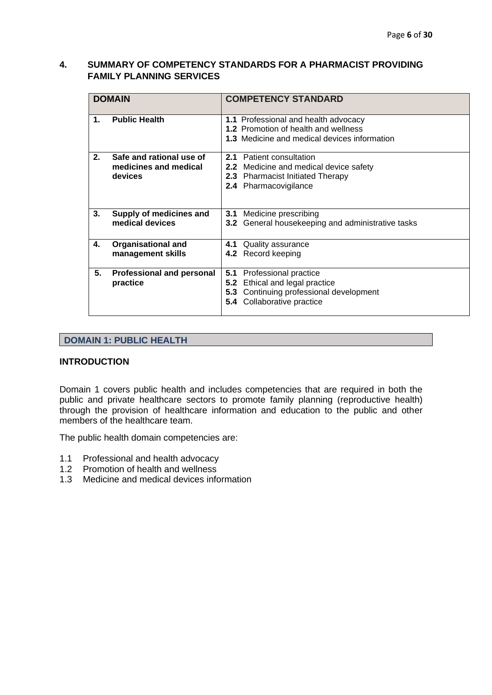## <span id="page-6-0"></span>**4. SUMMARY OF COMPETENCY STANDARDS FOR A PHARMACIST PROVIDING FAMILY PLANNING SERVICES**

|                | <b>DOMAIN</b>                                                | <b>COMPETENCY STANDARD</b>                                                                                                                           |
|----------------|--------------------------------------------------------------|------------------------------------------------------------------------------------------------------------------------------------------------------|
| $\mathbf{1}$ . | <b>Public Health</b>                                         | 1.1 Professional and health advocacy<br>1.2 Promotion of health and wellness<br>1.3 Medicine and medical devices information                         |
| 2.             | Safe and rational use of<br>medicines and medical<br>devices | 2.1 Patient consultation<br><b>2.2</b> Medicine and medical device safety<br>2.3 Pharmacist Initiated Therapy<br>2.4 Pharmacovigilance               |
| 3.             | Supply of medicines and<br>medical devices                   | Medicine prescribing<br>3.1<br><b>3.2</b> General housekeeping and administrative tasks                                                              |
| 4.             | <b>Organisational and</b><br>management skills               | Quality assurance<br>4.1<br>4.2 Record keeping                                                                                                       |
| 5.             | <b>Professional and personal</b><br>practice                 | Professional practice<br>5.1<br>Ethical and legal practice<br>5.2<br>Continuing professional development<br>5.3<br><b>5.4</b> Collaborative practice |

## <span id="page-6-1"></span>**DOMAIN 1: PUBLIC HEALTH**

#### **INTRODUCTION**

Domain 1 covers public health and includes competencies that are required in both the public and private healthcare sectors to promote family planning (reproductive health) through the provision of healthcare information and education to the public and other members of the healthcare team.

The public health domain competencies are:

- 1.1 Professional and health advocacy
- 1.2 Promotion of health and wellness
- 1.3 Medicine and medical devices information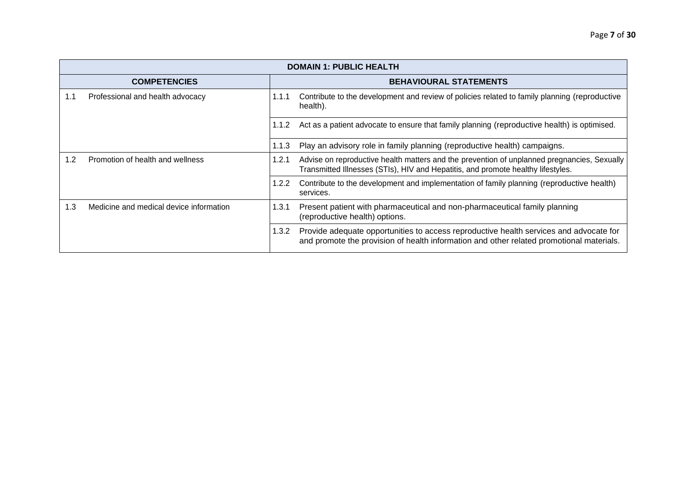|     | <b>DOMAIN 1: PUBLIC HEALTH</b>          |       |                                                                                                                                                                                    |  |
|-----|-----------------------------------------|-------|------------------------------------------------------------------------------------------------------------------------------------------------------------------------------------|--|
|     | <b>COMPETENCIES</b>                     |       | <b>BEHAVIOURAL STATEMENTS</b>                                                                                                                                                      |  |
| 1.1 | Professional and health advocacy        | 1.1.1 | Contribute to the development and review of policies related to family planning (reproductive<br>health).                                                                          |  |
|     |                                         | 1.1.2 | Act as a patient advocate to ensure that family planning (reproductive health) is optimised.                                                                                       |  |
|     |                                         | 1.1.3 | Play an advisory role in family planning (reproductive health) campaigns.                                                                                                          |  |
| 1.2 | Promotion of health and wellness        | 1.2.1 | Advise on reproductive health matters and the prevention of unplanned pregnancies, Sexually<br>Transmitted Illnesses (STIs), HIV and Hepatitis, and promote healthy lifestyles.    |  |
|     |                                         | 1.2.2 | Contribute to the development and implementation of family planning (reproductive health)<br>services.                                                                             |  |
| 1.3 | Medicine and medical device information | 1.3.1 | Present patient with pharmaceutical and non-pharmaceutical family planning<br>(reproductive health) options.                                                                       |  |
|     |                                         | 1.3.2 | Provide adequate opportunities to access reproductive health services and advocate for<br>and promote the provision of health information and other related promotional materials. |  |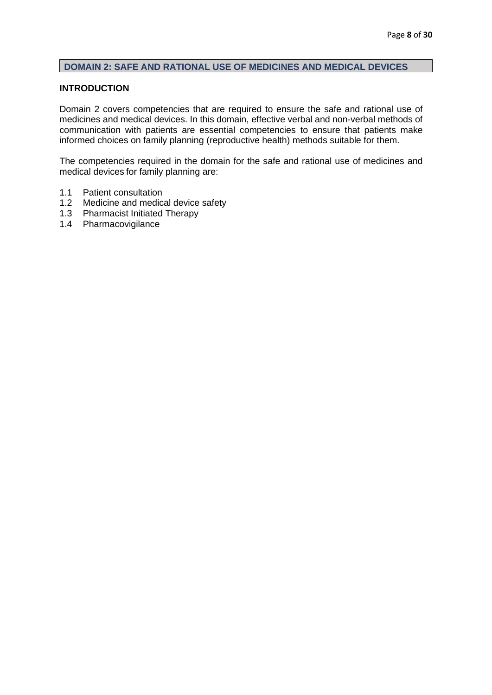## <span id="page-8-0"></span>**DOMAIN 2: SAFE AND RATIONAL USE OF MEDICINES AND MEDICAL DEVICES**

#### **INTRODUCTION**

Domain 2 covers competencies that are required to ensure the safe and rational use of medicines and medical devices. In this domain, effective verbal and non-verbal methods of communication with patients are essential competencies to ensure that patients make informed choices on family planning (reproductive health) methods suitable for them.

The competencies required in the domain for the safe and rational use of medicines and medical devices for family planning are:

- 1.1 Patient consultation
- 1.2 Medicine and medical device safety
- 1.3 Pharmacist Initiated Therapy
- 1.4 Pharmacovigilance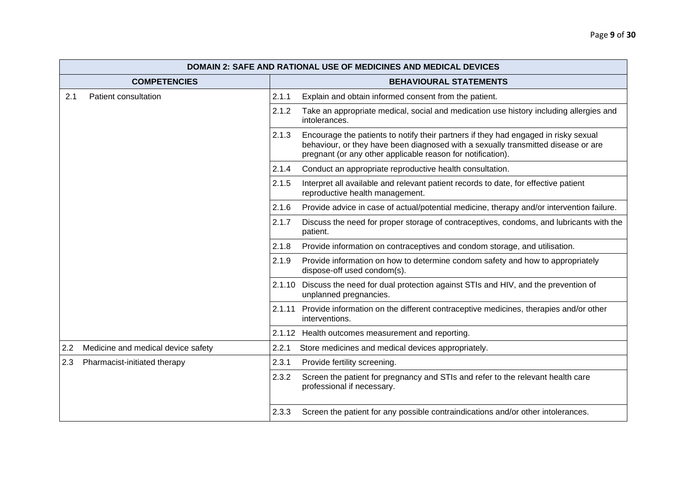|     | <b>DOMAIN 2: SAFE AND RATIONAL USE OF MEDICINES AND MEDICAL DEVICES</b> |        |                                                                                                                                                                                                                                         |  |
|-----|-------------------------------------------------------------------------|--------|-----------------------------------------------------------------------------------------------------------------------------------------------------------------------------------------------------------------------------------------|--|
|     | <b>COMPETENCIES</b>                                                     |        | <b>BEHAVIOURAL STATEMENTS</b>                                                                                                                                                                                                           |  |
| 2.1 | Patient consultation                                                    | 2.1.1  | Explain and obtain informed consent from the patient.                                                                                                                                                                                   |  |
|     |                                                                         | 2.1.2  | Take an appropriate medical, social and medication use history including allergies and<br>intolerances.                                                                                                                                 |  |
|     |                                                                         | 2.1.3  | Encourage the patients to notify their partners if they had engaged in risky sexual<br>behaviour, or they have been diagnosed with a sexually transmitted disease or are<br>pregnant (or any other applicable reason for notification). |  |
|     |                                                                         | 2.1.4  | Conduct an appropriate reproductive health consultation.                                                                                                                                                                                |  |
|     |                                                                         | 2.1.5  | Interpret all available and relevant patient records to date, for effective patient<br>reproductive health management.                                                                                                                  |  |
|     |                                                                         | 2.1.6  | Provide advice in case of actual/potential medicine, therapy and/or intervention failure.                                                                                                                                               |  |
|     |                                                                         | 2.1.7  | Discuss the need for proper storage of contraceptives, condoms, and lubricants with the<br>patient.                                                                                                                                     |  |
|     |                                                                         | 2.1.8  | Provide information on contraceptives and condom storage, and utilisation.                                                                                                                                                              |  |
|     |                                                                         | 2.1.9  | Provide information on how to determine condom safety and how to appropriately<br>dispose-off used condom(s).                                                                                                                           |  |
|     |                                                                         | 2.1.10 | Discuss the need for dual protection against STIs and HIV, and the prevention of<br>unplanned pregnancies.                                                                                                                              |  |
|     |                                                                         | 2.1.11 | Provide information on the different contraceptive medicines, therapies and/or other<br>interventions.                                                                                                                                  |  |
|     |                                                                         |        | 2.1.12 Health outcomes measurement and reporting.                                                                                                                                                                                       |  |
| 2.2 | Medicine and medical device safety                                      | 2.2.1  | Store medicines and medical devices appropriately.                                                                                                                                                                                      |  |
| 2.3 | Pharmacist-initiated therapy                                            | 2.3.1  | Provide fertility screening.                                                                                                                                                                                                            |  |
|     |                                                                         | 2.3.2  | Screen the patient for pregnancy and STIs and refer to the relevant health care<br>professional if necessary.                                                                                                                           |  |
|     |                                                                         | 2.3.3  | Screen the patient for any possible contraindications and/or other intolerances.                                                                                                                                                        |  |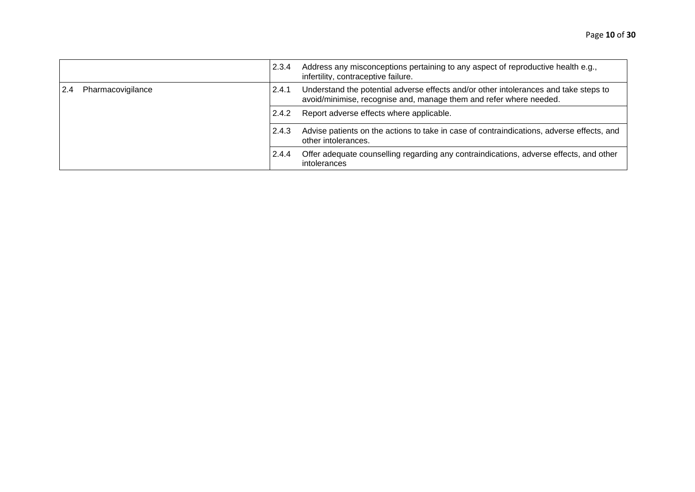|                   | 2.3.4 | Address any misconceptions pertaining to any aspect of reproductive health e.g.,<br>infertility, contraceptive failure.                                    |
|-------------------|-------|------------------------------------------------------------------------------------------------------------------------------------------------------------|
| Pharmacovigilance | 2.4.1 | Understand the potential adverse effects and/or other intolerances and take steps to<br>avoid/minimise, recognise and, manage them and refer where needed. |
|                   | 2.4.2 | Report adverse effects where applicable.                                                                                                                   |
|                   | 2.4.3 | Advise patients on the actions to take in case of contraindications, adverse effects, and<br>other intolerances.                                           |
|                   | 2.4.4 | Offer adequate counselling regarding any contraindications, adverse effects, and other<br>intolerances                                                     |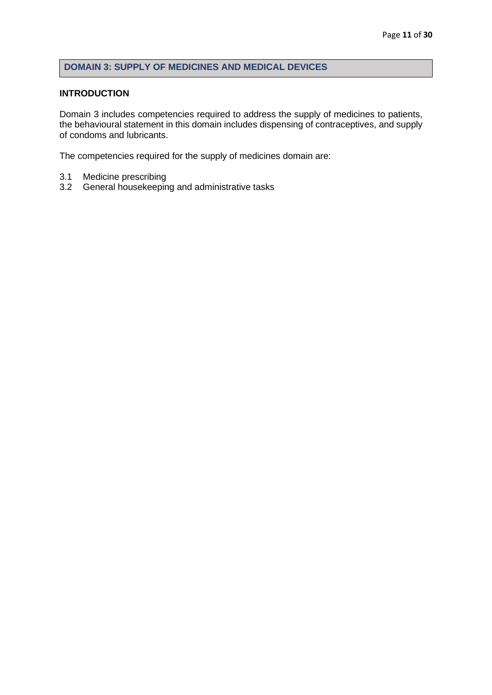# <span id="page-11-0"></span>**DOMAIN 3: SUPPLY OF MEDICINES AND MEDICAL DEVICES**

#### **INTRODUCTION**

Domain 3 includes competencies required to address the supply of medicines to patients, the behavioural statement in this domain includes dispensing of contraceptives, and supply of condoms and lubricants.

The competencies required for the supply of medicines domain are:

- 3.1 Medicine prescribing
- 3.2 General housekeeping and administrative tasks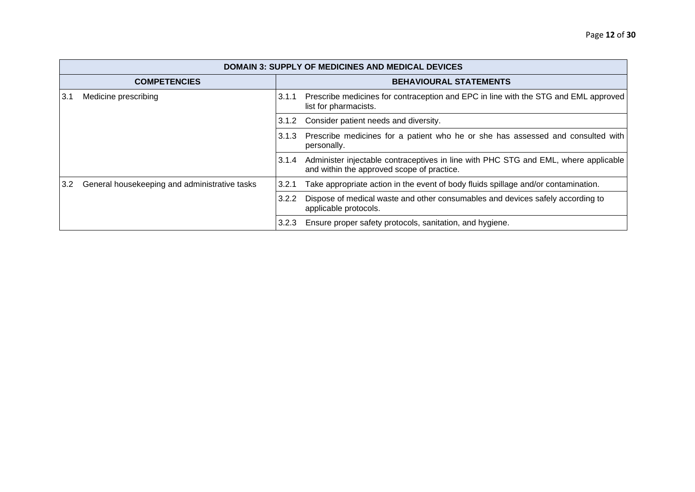|                  | <b>DOMAIN 3: SUPPLY OF MEDICINES AND MEDICAL DEVICES</b> |       |                                                                                                                                   |  |
|------------------|----------------------------------------------------------|-------|-----------------------------------------------------------------------------------------------------------------------------------|--|
|                  | <b>COMPETENCIES</b>                                      |       | <b>BEHAVIOURAL STATEMENTS</b>                                                                                                     |  |
| 3.1              | Medicine prescribing                                     | 3.1.1 | Prescribe medicines for contraception and EPC in line with the STG and EML approved<br>list for pharmacists.                      |  |
|                  |                                                          | 3.1.2 | Consider patient needs and diversity.                                                                                             |  |
|                  |                                                          | 3.1.3 | Prescribe medicines for a patient who he or she has assessed and consulted with<br>personally.                                    |  |
|                  |                                                          | 3.1.4 | Administer injectable contraceptives in line with PHC STG and EML, where applicable<br>and within the approved scope of practice. |  |
| 3.2 <sub>2</sub> | General housekeeping and administrative tasks            | 3.2.1 | Take appropriate action in the event of body fluids spillage and/or contamination.                                                |  |
|                  |                                                          | 3.2.2 | Dispose of medical waste and other consumables and devices safely according to<br>applicable protocols.                           |  |
|                  |                                                          | 3.2.3 | Ensure proper safety protocols, sanitation, and hygiene.                                                                          |  |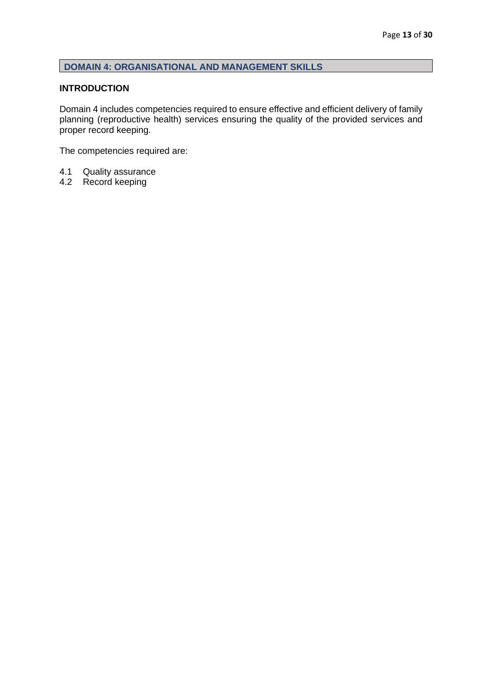## <span id="page-13-0"></span>**DOMAIN 4: ORGANISATIONAL AND MANAGEMENT SKILLS**

#### **INTRODUCTION**

Domain 4 includes competencies required to ensure effective and efficient delivery of family planning (reproductive health) services ensuring the quality of the provided services and proper record keeping.

The competencies required are:

- 4.1 Quality assurance<br>4.2 Record keeping
- Record keeping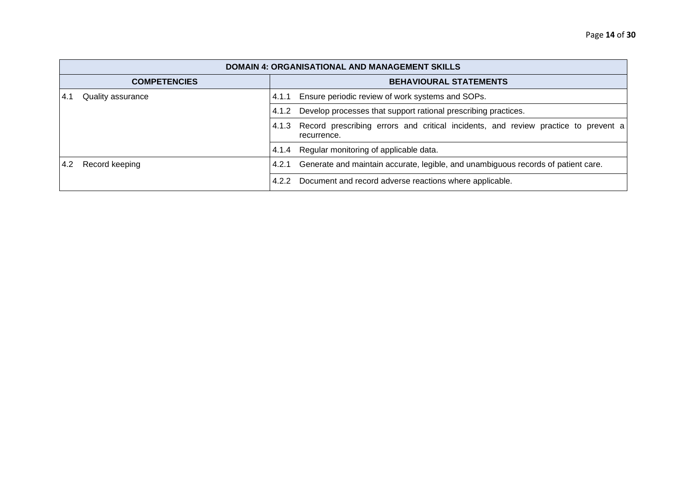| <b>DOMAIN 4: ORGANISATIONAL AND MANAGEMENT SKILLS</b>                                                               |                                                                                                            |  |  |
|---------------------------------------------------------------------------------------------------------------------|------------------------------------------------------------------------------------------------------------|--|--|
| <b>COMPETENCIES</b>                                                                                                 | <b>BEHAVIOURAL STATEMENTS</b>                                                                              |  |  |
| Quality assurance<br>4.1                                                                                            | Ensure periodic review of work systems and SOPs.<br>4.1.1                                                  |  |  |
|                                                                                                                     | Develop processes that support rational prescribing practices.<br>4.1.2                                    |  |  |
|                                                                                                                     | Record prescribing errors and critical incidents, and review practice to prevent a<br>4.1.3<br>recurrence. |  |  |
|                                                                                                                     | Regular monitoring of applicable data.<br>4.1.4                                                            |  |  |
| Generate and maintain accurate, legible, and unambiguous records of patient care.<br>Record keeping<br>4.2<br>4.2.1 |                                                                                                            |  |  |
|                                                                                                                     | 4.2.2 Document and record adverse reactions where applicable.                                              |  |  |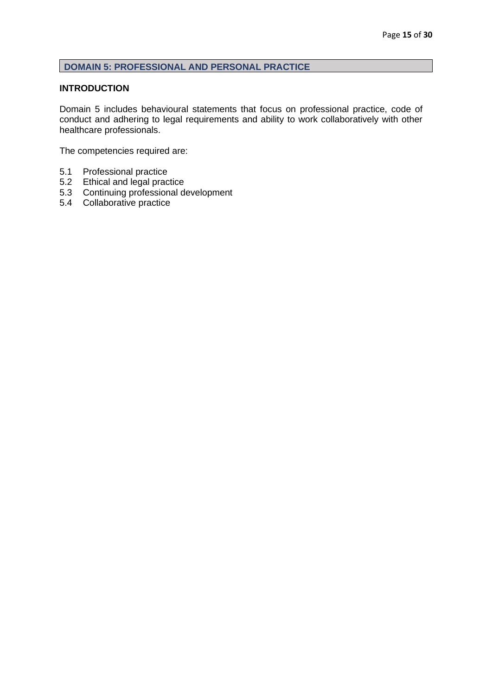# <span id="page-15-0"></span>**DOMAIN 5: PROFESSIONAL AND PERSONAL PRACTICE**

#### **INTRODUCTION**

Domain 5 includes behavioural statements that focus on professional practice, code of conduct and adhering to legal requirements and ability to work collaboratively with other healthcare professionals.

The competencies required are:

- 5.1 Professional practice
- 5.2 Ethical and legal practice
- 5.3 Continuing professional development
- 5.4 Collaborative practice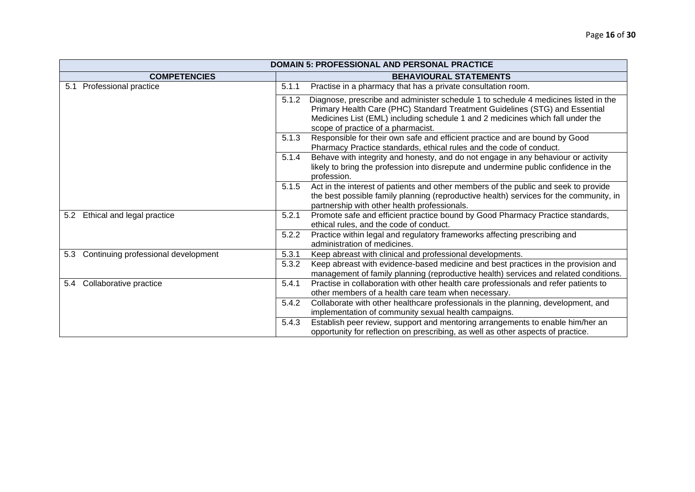| <b>DOMAIN 5: PROFESSIONAL AND PERSONAL PRACTICE</b> |                                                                                                                                                                                                                                                                                                     |  |  |
|-----------------------------------------------------|-----------------------------------------------------------------------------------------------------------------------------------------------------------------------------------------------------------------------------------------------------------------------------------------------------|--|--|
| <b>COMPETENCIES</b>                                 | <b>BEHAVIOURAL STATEMENTS</b>                                                                                                                                                                                                                                                                       |  |  |
| 5.1 Professional practice                           | Practise in a pharmacy that has a private consultation room.<br>5.1.1                                                                                                                                                                                                                               |  |  |
|                                                     | Diagnose, prescribe and administer schedule 1 to schedule 4 medicines listed in the<br>5.1.2<br>Primary Health Care (PHC) Standard Treatment Guidelines (STG) and Essential<br>Medicines List (EML) including schedule 1 and 2 medicines which fall under the<br>scope of practice of a pharmacist. |  |  |
|                                                     | Responsible for their own safe and efficient practice and are bound by Good<br>5.1.3<br>Pharmacy Practice standards, ethical rules and the code of conduct.                                                                                                                                         |  |  |
|                                                     | Behave with integrity and honesty, and do not engage in any behaviour or activity<br>5.1.4<br>likely to bring the profession into disrepute and undermine public confidence in the<br>profession.                                                                                                   |  |  |
|                                                     | Act in the interest of patients and other members of the public and seek to provide<br>5.1.5<br>the best possible family planning (reproductive health) services for the community, in<br>partnership with other health professionals.                                                              |  |  |
| Ethical and legal practice<br>5.2                   | Promote safe and efficient practice bound by Good Pharmacy Practice standards,<br>5.2.1<br>ethical rules, and the code of conduct.                                                                                                                                                                  |  |  |
|                                                     | Practice within legal and regulatory frameworks affecting prescribing and<br>5.2.2<br>administration of medicines.                                                                                                                                                                                  |  |  |
| Continuing professional development<br>5.3          | 5.3.1<br>Keep abreast with clinical and professional developments.                                                                                                                                                                                                                                  |  |  |
|                                                     | Keep abreast with evidence-based medicine and best practices in the provision and<br>5.3.2<br>management of family planning (reproductive health) services and related conditions.                                                                                                                  |  |  |
| Collaborative practice<br>5.4                       | Practise in collaboration with other health care professionals and refer patients to<br>5.4.1<br>other members of a health care team when necessary.                                                                                                                                                |  |  |
|                                                     | Collaborate with other healthcare professionals in the planning, development, and<br>5.4.2<br>implementation of community sexual health campaigns.                                                                                                                                                  |  |  |
|                                                     | Establish peer review, support and mentoring arrangements to enable him/her an<br>5.4.3<br>opportunity for reflection on prescribing, as well as other aspects of practice.                                                                                                                         |  |  |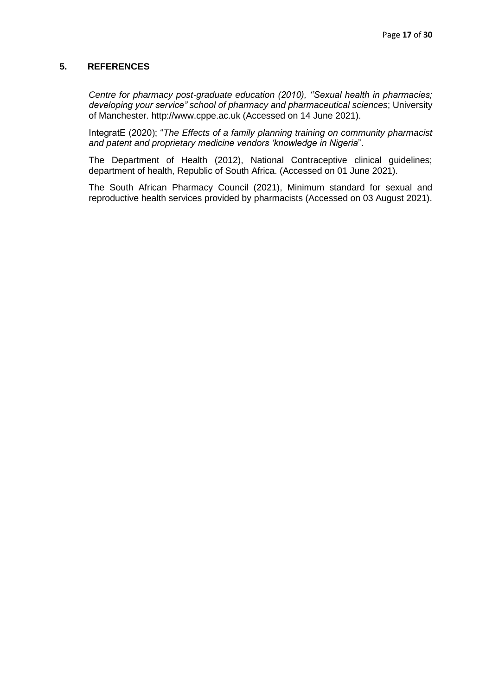#### <span id="page-17-0"></span>**5. REFERENCES**

*Centre for pharmacy post-graduate education (2010), ''Sexual health in pharmacies; developing your service" school of pharmacy and pharmaceutical sciences*; University of Manchester. http://www.cppe.ac.uk (Accessed on 14 June 2021).

IntegratE (2020); "*The Effects of a family planning training on community pharmacist and patent and proprietary medicine vendors 'knowledge in Nigeria*".

The Department of Health (2012), National Contraceptive clinical guidelines; department of health, Republic of South Africa. (Accessed on 01 June 2021).

The South African Pharmacy Council (2021), Minimum standard for sexual and reproductive health services provided by pharmacists (Accessed on 03 August 2021).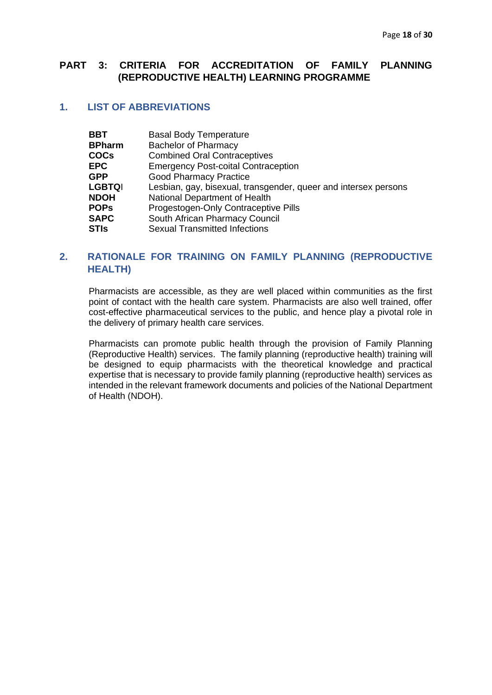## <span id="page-18-0"></span>**PART 3: CRITERIA FOR ACCREDITATION OF FAMILY PLANNING (REPRODUCTIVE HEALTH) LEARNING PROGRAMME**

# **1. LIST OF ABBREVIATIONS**

| <b>BBT</b>    | <b>Basal Body Temperature</b>                                   |
|---------------|-----------------------------------------------------------------|
| <b>BPharm</b> | <b>Bachelor of Pharmacy</b>                                     |
| <b>COCs</b>   | <b>Combined Oral Contraceptives</b>                             |
| EPC           | <b>Emergency Post-coital Contraception</b>                      |
| GPP           | <b>Good Pharmacy Practice</b>                                   |
| <b>LGBTQI</b> | Lesbian, gay, bisexual, transgender, queer and intersex persons |
| <b>NDOH</b>   | National Department of Health                                   |
| <b>POPs</b>   | Progestogen-Only Contraceptive Pills                            |
| <b>SAPC</b>   | South African Pharmacy Council                                  |
| STIs          | <b>Sexual Transmitted Infections</b>                            |
|               |                                                                 |

## **2. RATIONALE FOR TRAINING ON FAMILY PLANNING (REPRODUCTIVE HEALTH)**

Pharmacists are accessible, as they are well placed within communities as the first point of contact with the health care system. Pharmacists are also well trained, offer cost-effective pharmaceutical services to the public, and hence play a pivotal role in the delivery of primary health care services.

Pharmacists can promote public health through the provision of Family Planning (Reproductive Health) services. The family planning (reproductive health) training will be designed to equip pharmacists with the theoretical knowledge and practical expertise that is necessary to provide family planning (reproductive health) services as intended in the relevant framework documents and policies of the National Department of Health (NDOH).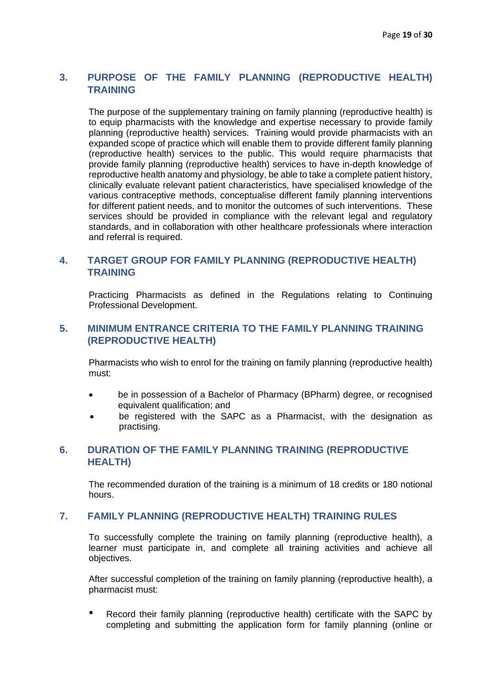# **3. PURPOSE OF THE FAMILY PLANNING (REPRODUCTIVE HEALTH) TRAINING**

The purpose of the supplementary training on family planning (reproductive health) is to equip pharmacists with the knowledge and expertise necessary to provide family planning (reproductive health) services. Training would provide pharmacists with an expanded scope of practice which will enable them to provide different family planning (reproductive health) services to the public. This would require pharmacists that provide family planning (reproductive health) services to have in-depth knowledge of reproductive health anatomy and physiology, be able to take a complete patient history, clinically evaluate relevant patient characteristics, have specialised knowledge of the various contraceptive methods, conceptualise different family planning interventions for different patient needs, and to monitor the outcomes of such interventions. These services should be provided in compliance with the relevant legal and regulatory standards, and in collaboration with other healthcare professionals where interaction and referral is required.

## **4. TARGET GROUP FOR FAMILY PLANNING (REPRODUCTIVE HEALTH) TRAINING**

Practicing Pharmacists as defined in the Regulations relating to Continuing Professional Development.

## **5. MINIMUM ENTRANCE CRITERIA TO THE FAMILY PLANNING TRAINING (REPRODUCTIVE HEALTH)**

Pharmacists who wish to enrol for the training on family planning (reproductive health) must:

- be in possession of a Bachelor of Pharmacy (BPharm) degree, or recognised equivalent qualification; and
- be registered with the SAPC as a Pharmacist, with the designation as practising.

## **6. DURATION OF THE FAMILY PLANNING TRAINING (REPRODUCTIVE HEALTH)**

The recommended duration of the training is a minimum of 18 credits or 180 notional hours.

#### **7. FAMILY PLANNING (REPRODUCTIVE HEALTH) TRAINING RULES**

To successfully complete the training on family planning (reproductive health), a learner must participate in, and complete all training activities and achieve all objectives.

After successful completion of the training on family planning (reproductive health), a pharmacist must:

Record their family planning (reproductive health) certificate with the SAPC by completing and submitting the application form for family planning (online or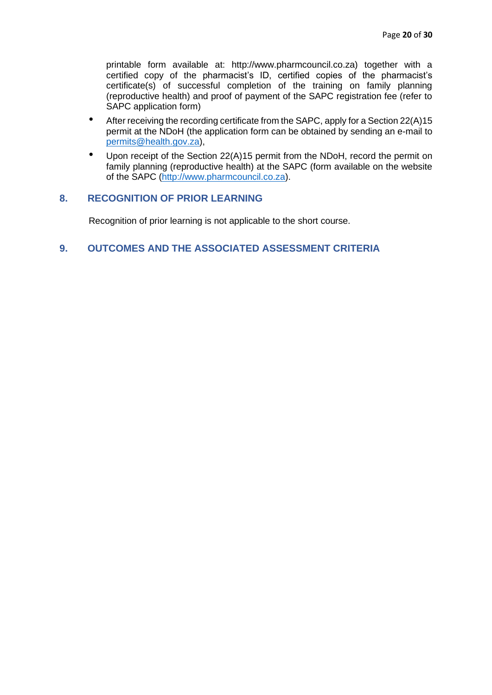printable form available at: http://www.pharmcouncil.co.za) together with a certified copy of the pharmacist's ID, certified copies of the pharmacist's certificate(s) of successful completion of the training on family planning (reproductive health) and proof of payment of the SAPC registration fee (refer to SAPC application form)

- After receiving the recording certificate from the SAPC, apply for a Section 22(A)15 permit at the NDoH (the application form can be obtained by sending an e-mail to [permits@health.gov.za\)](mailto:permits@health.gov.za),
- Upon receipt of the Section 22(A)15 permit from the NDoH, record the permit on family planning (reproductive health) at the SAPC (form available on the website of the SAPC [\(http://www.pharmcouncil.co.za\)](http://www.pharmcouncil.co.za/).

## **8. RECOGNITION OF PRIOR LEARNING**

Recognition of prior learning is not applicable to the short course.

## **9. OUTCOMES AND THE ASSOCIATED ASSESSMENT CRITERIA**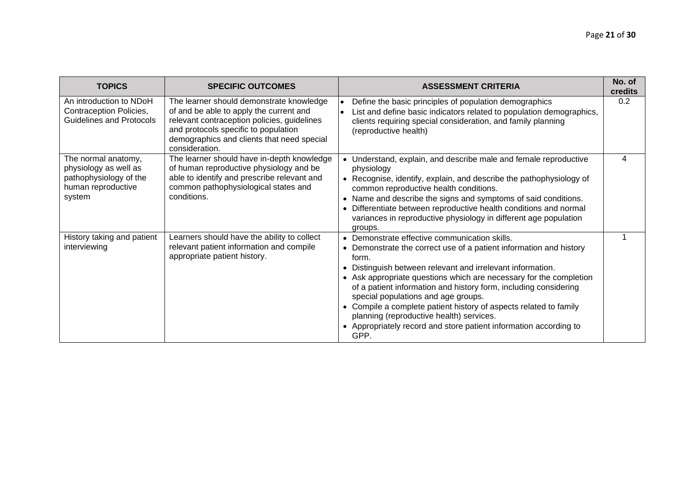| <b>TOPICS</b>                                                                                          | <b>SPECIFIC OUTCOMES</b>                                                                                                                                                                                                                   | <b>ASSESSMENT CRITERIA</b>                                                                                                                                                                                                                                                                                                                                                                                                                                                                                                                                            | No. of<br>credits |
|--------------------------------------------------------------------------------------------------------|--------------------------------------------------------------------------------------------------------------------------------------------------------------------------------------------------------------------------------------------|-----------------------------------------------------------------------------------------------------------------------------------------------------------------------------------------------------------------------------------------------------------------------------------------------------------------------------------------------------------------------------------------------------------------------------------------------------------------------------------------------------------------------------------------------------------------------|-------------------|
| An introduction to NDoH<br>Contraception Policies,<br><b>Guidelines and Protocols</b>                  | The learner should demonstrate knowledge<br>of and be able to apply the current and<br>relevant contraception policies, guidelines<br>and protocols specific to population<br>demographics and clients that need special<br>consideration. | Define the basic principles of population demographics<br>List and define basic indicators related to population demographics,<br>clients requiring special consideration, and family planning<br>(reproductive health)                                                                                                                                                                                                                                                                                                                                               | 0.2               |
| The normal anatomy,<br>physiology as well as<br>pathophysiology of the<br>human reproductive<br>system | The learner should have in-depth knowledge<br>of human reproductive physiology and be<br>able to identify and prescribe relevant and<br>common pathophysiological states and<br>conditions.                                                | • Understand, explain, and describe male and female reproductive<br>physiology<br>• Recognise, identify, explain, and describe the pathophysiology of<br>common reproductive health conditions.<br>• Name and describe the signs and symptoms of said conditions.<br>Differentiate between reproductive health conditions and normal<br>variances in reproductive physiology in different age population<br>groups.                                                                                                                                                   | 4                 |
| History taking and patient<br>interviewing                                                             | Learners should have the ability to collect<br>relevant patient information and compile<br>appropriate patient history.                                                                                                                    | • Demonstrate effective communication skills.<br>• Demonstrate the correct use of a patient information and history<br>form.<br>Distinguish between relevant and irrelevant information.<br>• Ask appropriate questions which are necessary for the completion<br>of a patient information and history form, including considering<br>special populations and age groups.<br>Compile a complete patient history of aspects related to family<br>planning (reproductive health) services.<br>• Appropriately record and store patient information according to<br>GPP. |                   |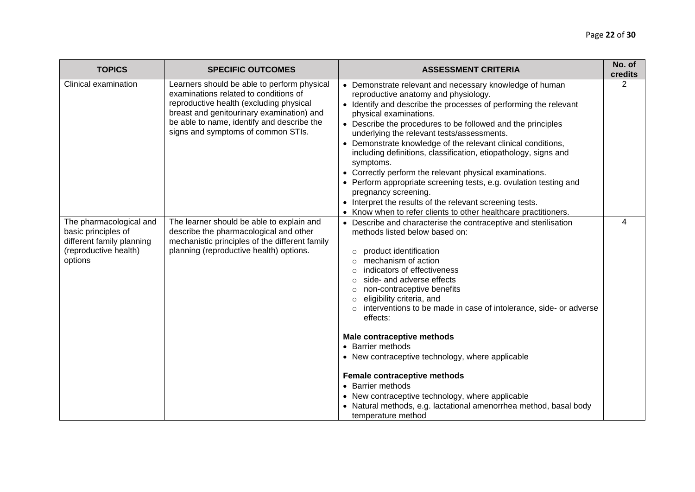| <b>TOPICS</b>                                                                                                   | <b>SPECIFIC OUTCOMES</b>                                                                                                                                                                                                                                         | <b>ASSESSMENT CRITERIA</b>                                                                                                                                                                                                                                                                                                                                                                                                                                                                                                                                                                                                                                                                                                                        | No. of<br>credits |
|-----------------------------------------------------------------------------------------------------------------|------------------------------------------------------------------------------------------------------------------------------------------------------------------------------------------------------------------------------------------------------------------|---------------------------------------------------------------------------------------------------------------------------------------------------------------------------------------------------------------------------------------------------------------------------------------------------------------------------------------------------------------------------------------------------------------------------------------------------------------------------------------------------------------------------------------------------------------------------------------------------------------------------------------------------------------------------------------------------------------------------------------------------|-------------------|
| Clinical examination                                                                                            | Learners should be able to perform physical<br>examinations related to conditions of<br>reproductive health (excluding physical<br>breast and genitourinary examination) and<br>be able to name, identify and describe the<br>signs and symptoms of common STIs. | • Demonstrate relevant and necessary knowledge of human<br>reproductive anatomy and physiology.<br>• Identify and describe the processes of performing the relevant<br>physical examinations.<br>• Describe the procedures to be followed and the principles<br>underlying the relevant tests/assessments.<br>• Demonstrate knowledge of the relevant clinical conditions,<br>including definitions, classification, etiopathology, signs and<br>symptoms.<br>• Correctly perform the relevant physical examinations.<br>• Perform appropriate screening tests, e.g. ovulation testing and<br>pregnancy screening.<br>• Interpret the results of the relevant screening tests.<br>• Know when to refer clients to other healthcare practitioners. | $\overline{2}$    |
| The pharmacological and<br>basic principles of<br>different family planning<br>(reproductive health)<br>options | The learner should be able to explain and<br>describe the pharmacological and other<br>mechanistic principles of the different family<br>planning (reproductive health) options.                                                                                 | • Describe and characterise the contraceptive and sterilisation<br>methods listed below based on:<br>product identification<br>$\circ$<br>mechanism of action<br>$\bigcap$<br>indicators of effectiveness<br>side- and adverse effects<br>non-contraceptive benefits<br>$\circ$<br>eligibility criteria, and<br>$\circ$<br>interventions to be made in case of intolerance, side- or adverse<br>effects:<br>Male contraceptive methods                                                                                                                                                                                                                                                                                                            | 4                 |
|                                                                                                                 |                                                                                                                                                                                                                                                                  | • Barrier methods<br>• New contraceptive technology, where applicable<br>Female contraceptive methods<br>• Barrier methods<br>• New contraceptive technology, where applicable<br>• Natural methods, e.g. lactational amenorrhea method, basal body<br>temperature method                                                                                                                                                                                                                                                                                                                                                                                                                                                                         |                   |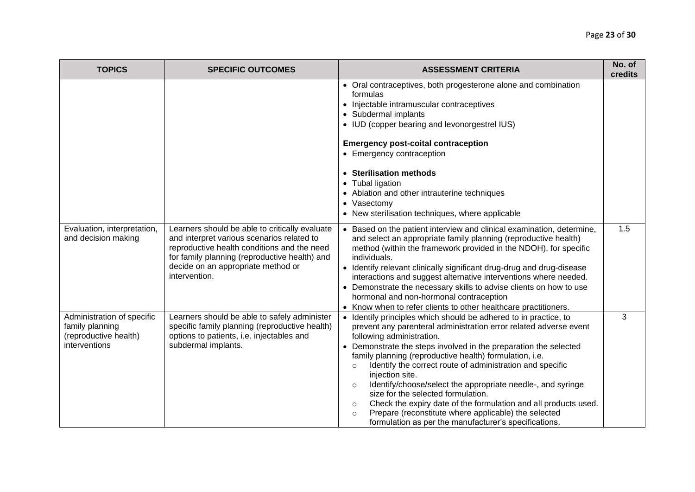| <b>TOPICS</b>                                                                           | <b>SPECIFIC OUTCOMES</b>                                                                                                                                                                                                                            | <b>ASSESSMENT CRITERIA</b>                                                                                                                                                                                                                                                                                                                                                                                                                                                                                                                                                                                                                                                                                             | No. of<br>credits |
|-----------------------------------------------------------------------------------------|-----------------------------------------------------------------------------------------------------------------------------------------------------------------------------------------------------------------------------------------------------|------------------------------------------------------------------------------------------------------------------------------------------------------------------------------------------------------------------------------------------------------------------------------------------------------------------------------------------------------------------------------------------------------------------------------------------------------------------------------------------------------------------------------------------------------------------------------------------------------------------------------------------------------------------------------------------------------------------------|-------------------|
|                                                                                         |                                                                                                                                                                                                                                                     | • Oral contraceptives, both progesterone alone and combination<br>formulas<br>• Injectable intramuscular contraceptives<br>• Subdermal implants<br>• IUD (copper bearing and levonorgestrel IUS)<br><b>Emergency post-coital contraception</b><br>• Emergency contraception<br>• Sterilisation methods<br>• Tubal ligation<br>• Ablation and other intrauterine techniques<br>• Vasectomy<br>• New sterilisation techniques, where applicable                                                                                                                                                                                                                                                                          |                   |
| Evaluation, interpretation,<br>and decision making                                      | Learners should be able to critically evaluate<br>and interpret various scenarios related to<br>reproductive health conditions and the need<br>for family planning (reproductive health) and<br>decide on an appropriate method or<br>intervention. | • Based on the patient interview and clinical examination, determine,<br>and select an appropriate family planning (reproductive health)<br>method (within the framework provided in the NDOH), for specific<br>individuals.<br>• Identify relevant clinically significant drug-drug and drug-disease<br>interactions and suggest alternative interventions where needed.<br>• Demonstrate the necessary skills to advise clients on how to use<br>hormonal and non-hormonal contraception<br>• Know when to refer clients to other healthcare practitioners.                                                                                                                                                          | 1.5               |
| Administration of specific<br>family planning<br>(reproductive health)<br>interventions | Learners should be able to safely administer<br>specific family planning (reproductive health)<br>options to patients, i.e. injectables and<br>subdermal implants.                                                                                  | • Identify principles which should be adhered to in practice, to<br>prevent any parenteral administration error related adverse event<br>following administration.<br>• Demonstrate the steps involved in the preparation the selected<br>family planning (reproductive health) formulation, i.e.<br>Identify the correct route of administration and specific<br>$\circ$<br>injection site.<br>Identify/choose/select the appropriate needle-, and syringe<br>$\circ$<br>size for the selected formulation.<br>Check the expiry date of the formulation and all products used.<br>$\circ$<br>Prepare (reconstitute where applicable) the selected<br>$\circ$<br>formulation as per the manufacturer's specifications. | 3                 |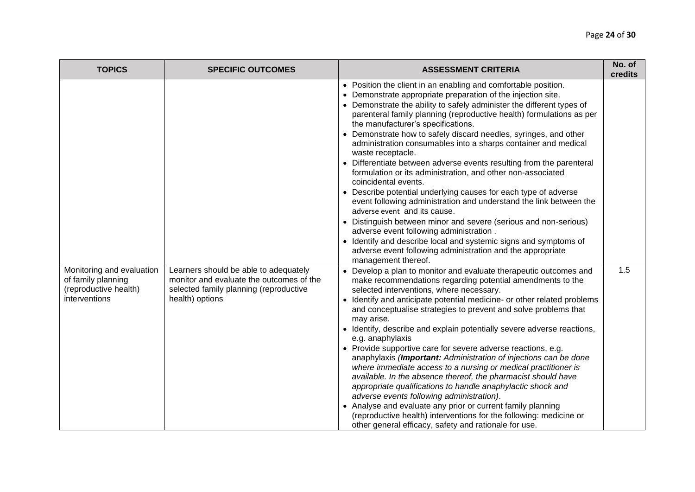| <b>TOPICS</b>                                                                             | <b>SPECIFIC OUTCOMES</b>                                                                                                                       | <b>ASSESSMENT CRITERIA</b>                                                                                                                                                                                                                                                                                                                                                                                                                                                                                                                                                                                                                                                                                                                                                                                                                                                                                                                                                                                                                                                                       | No. of<br>credits |
|-------------------------------------------------------------------------------------------|------------------------------------------------------------------------------------------------------------------------------------------------|--------------------------------------------------------------------------------------------------------------------------------------------------------------------------------------------------------------------------------------------------------------------------------------------------------------------------------------------------------------------------------------------------------------------------------------------------------------------------------------------------------------------------------------------------------------------------------------------------------------------------------------------------------------------------------------------------------------------------------------------------------------------------------------------------------------------------------------------------------------------------------------------------------------------------------------------------------------------------------------------------------------------------------------------------------------------------------------------------|-------------------|
|                                                                                           |                                                                                                                                                | • Position the client in an enabling and comfortable position.<br>• Demonstrate appropriate preparation of the injection site.<br>• Demonstrate the ability to safely administer the different types of<br>parenteral family planning (reproductive health) formulations as per<br>the manufacturer's specifications.<br>• Demonstrate how to safely discard needles, syringes, and other<br>administration consumables into a sharps container and medical<br>waste receptacle.<br>• Differentiate between adverse events resulting from the parenteral<br>formulation or its administration, and other non-associated<br>coincidental events.<br>• Describe potential underlying causes for each type of adverse<br>event following administration and understand the link between the<br>adverse event and its cause.<br>• Distinguish between minor and severe (serious and non-serious)<br>adverse event following administration.<br>• Identify and describe local and systemic signs and symptoms of<br>adverse event following administration and the appropriate<br>management thereof. |                   |
| Monitoring and evaluation<br>of family planning<br>(reproductive health)<br>interventions | Learners should be able to adequately<br>monitor and evaluate the outcomes of the<br>selected family planning (reproductive<br>health) options | • Develop a plan to monitor and evaluate therapeutic outcomes and<br>make recommendations regarding potential amendments to the<br>selected interventions, where necessary.<br>• Identify and anticipate potential medicine- or other related problems<br>and conceptualise strategies to prevent and solve problems that<br>may arise.<br>• Identify, describe and explain potentially severe adverse reactions,<br>e.g. anaphylaxis<br>• Provide supportive care for severe adverse reactions, e.g.<br>anaphylaxis (Important: Administration of injections can be done<br>where immediate access to a nursing or medical practitioner is<br>available. In the absence thereof, the pharmacist should have<br>appropriate qualifications to handle anaphylactic shock and<br>adverse events following administration).<br>• Analyse and evaluate any prior or current family planning<br>(reproductive health) interventions for the following: medicine or<br>other general efficacy, safety and rationale for use.                                                                           | 1.5               |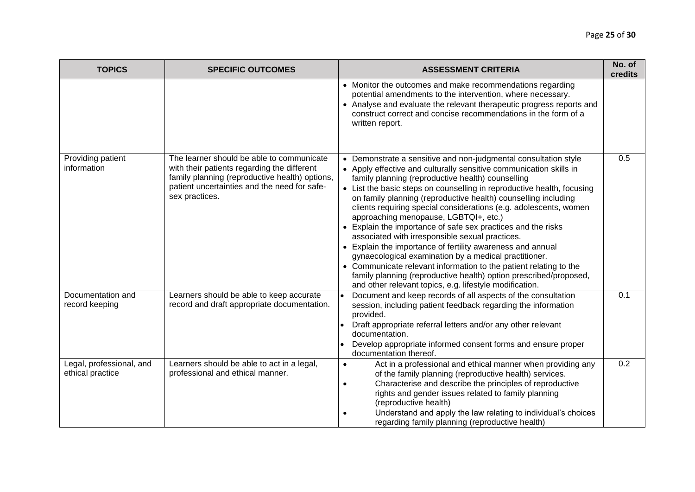| <b>TOPICS</b>                                | <b>SPECIFIC OUTCOMES</b>                                                                                                                                                                                     | <b>ASSESSMENT CRITERIA</b>                                                                                                                                                                                                                                                                                                                                                                                                                                                                                                                                                                                                                                                                                                                                                                                                                                                                          | No. of<br>credits |
|----------------------------------------------|--------------------------------------------------------------------------------------------------------------------------------------------------------------------------------------------------------------|-----------------------------------------------------------------------------------------------------------------------------------------------------------------------------------------------------------------------------------------------------------------------------------------------------------------------------------------------------------------------------------------------------------------------------------------------------------------------------------------------------------------------------------------------------------------------------------------------------------------------------------------------------------------------------------------------------------------------------------------------------------------------------------------------------------------------------------------------------------------------------------------------------|-------------------|
|                                              |                                                                                                                                                                                                              | • Monitor the outcomes and make recommendations regarding<br>potential amendments to the intervention, where necessary.<br>• Analyse and evaluate the relevant therapeutic progress reports and<br>construct correct and concise recommendations in the form of a<br>written report.                                                                                                                                                                                                                                                                                                                                                                                                                                                                                                                                                                                                                |                   |
| Providing patient<br>information             | The learner should be able to communicate<br>with their patients regarding the different<br>family planning (reproductive health) options,<br>patient uncertainties and the need for safe-<br>sex practices. | • Demonstrate a sensitive and non-judgmental consultation style<br>• Apply effective and culturally sensitive communication skills in<br>family planning (reproductive health) counselling<br>• List the basic steps on counselling in reproductive health, focusing<br>on family planning (reproductive health) counselling including<br>clients requiring special considerations (e.g. adolescents, women<br>approaching menopause, LGBTQI+, etc.)<br>• Explain the importance of safe sex practices and the risks<br>associated with irresponsible sexual practices.<br>• Explain the importance of fertility awareness and annual<br>gynaecological examination by a medical practitioner.<br>• Communicate relevant information to the patient relating to the<br>family planning (reproductive health) option prescribed/proposed,<br>and other relevant topics, e.g. lifestyle modification. | 0.5               |
| Documentation and<br>record keeping          | Learners should be able to keep accurate<br>record and draft appropriate documentation.                                                                                                                      | Document and keep records of all aspects of the consultation<br>$\bullet$<br>session, including patient feedback regarding the information<br>provided.<br>Draft appropriate referral letters and/or any other relevant<br>documentation.<br>Develop appropriate informed consent forms and ensure proper<br>$\bullet$<br>documentation thereof.                                                                                                                                                                                                                                                                                                                                                                                                                                                                                                                                                    | 0.1               |
| Legal, professional, and<br>ethical practice | Learners should be able to act in a legal,<br>professional and ethical manner.                                                                                                                               | Act in a professional and ethical manner when providing any<br>$\bullet$<br>of the family planning (reproductive health) services.<br>Characterise and describe the principles of reproductive<br>$\bullet$<br>rights and gender issues related to family planning<br>(reproductive health)<br>Understand and apply the law relating to individual's choices<br>$\bullet$<br>regarding family planning (reproductive health)                                                                                                                                                                                                                                                                                                                                                                                                                                                                        | 0.2               |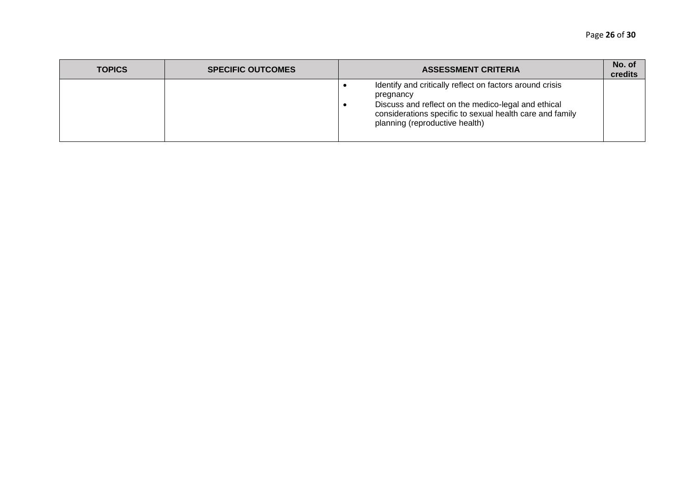| <b>TOPICS</b> | <b>SPECIFIC OUTCOMES</b> | <b>ASSESSMENT CRITERIA</b>                                                                                                                                                                                                 | No. of<br>credits |
|---------------|--------------------------|----------------------------------------------------------------------------------------------------------------------------------------------------------------------------------------------------------------------------|-------------------|
|               |                          | Identify and critically reflect on factors around crisis<br>pregnancy<br>Discuss and reflect on the medico-legal and ethical<br>considerations specific to sexual health care and family<br>planning (reproductive health) |                   |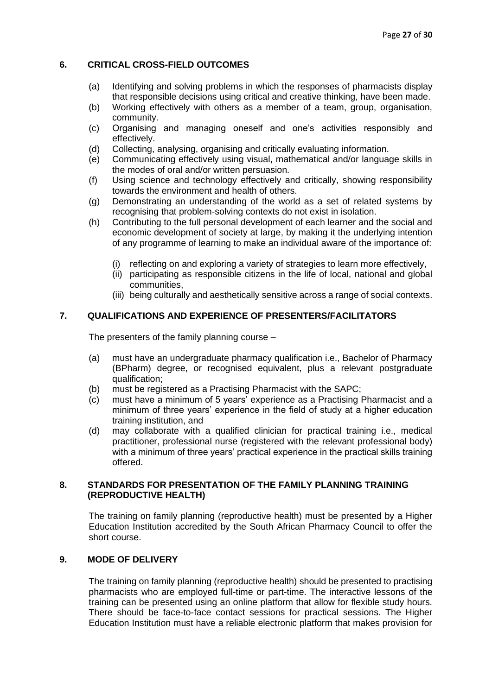#### <span id="page-27-0"></span>**6. CRITICAL CROSS-FIELD OUTCOMES**

- (a) Identifying and solving problems in which the responses of pharmacists display that responsible decisions using critical and creative thinking, have been made.
- (b) Working effectively with others as a member of a team, group, organisation, community.
- (c) Organising and managing oneself and one's activities responsibly and effectively.
- (d) Collecting, analysing, organising and critically evaluating information.
- (e) Communicating effectively using visual, mathematical and/or language skills in the modes of oral and/or written persuasion.
- (f) Using science and technology effectively and critically, showing responsibility towards the environment and health of others.
- (g) Demonstrating an understanding of the world as a set of related systems by recognising that problem-solving contexts do not exist in isolation.
- (h) Contributing to the full personal development of each learner and the social and economic development of society at large, by making it the underlying intention of any programme of learning to make an individual aware of the importance of:
	- (i) reflecting on and exploring a variety of strategies to learn more effectively,
	- (ii) participating as responsible citizens in the life of local, national and global communities,
	- (iii) being culturally and aesthetically sensitive across a range of social contexts.

## <span id="page-27-1"></span>**7. QUALIFICATIONS AND EXPERIENCE OF PRESENTERS/FACILITATORS**

The presenters of the family planning course –

- (a) must have an undergraduate pharmacy qualification i.e., Bachelor of Pharmacy (BPharm) degree, or recognised equivalent, plus a relevant postgraduate qualification;
- (b) must be registered as a Practising Pharmacist with the SAPC;
- (c) must have a minimum of 5 years' experience as a Practising Pharmacist and a minimum of three years' experience in the field of study at a higher education training institution, and
- (d) may collaborate with a qualified clinician for practical training i.e., medical practitioner, professional nurse (registered with the relevant professional body) with a minimum of three years' practical experience in the practical skills training offered.

#### <span id="page-27-2"></span>**8. STANDARDS FOR PRESENTATION OF THE FAMILY PLANNING TRAINING (REPRODUCTIVE HEALTH)**

The training on family planning (reproductive health) must be presented by a Higher Education Institution accredited by the South African Pharmacy Council to offer the short course.

#### <span id="page-27-3"></span>**9. MODE OF DELIVERY**

The training on family planning (reproductive health) should be presented to practising pharmacists who are employed full-time or part-time. The interactive lessons of the training can be presented using an online platform that allow for flexible study hours. There should be face-to-face contact sessions for practical sessions. The Higher Education Institution must have a reliable electronic platform that makes provision for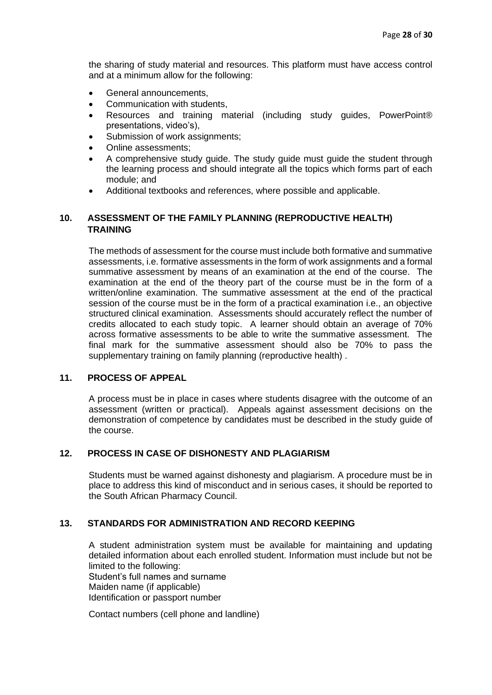the sharing of study material and resources. This platform must have access control and at a minimum allow for the following:

- General announcements.
- Communication with students,
- Resources and training material (including study guides, PowerPoint® presentations, video's),
- Submission of work assignments;
- Online assessments;
- A comprehensive study guide. The study guide must guide the student through the learning process and should integrate all the topics which forms part of each module; and
- Additional textbooks and references, where possible and applicable.

#### <span id="page-28-0"></span>**10. ASSESSMENT OF THE FAMILY PLANNING (REPRODUCTIVE HEALTH) TRAINING**

The methods of assessment for the course must include both formative and summative assessments, i.e. formative assessments in the form of work assignments and a formal summative assessment by means of an examination at the end of the course. The examination at the end of the theory part of the course must be in the form of a written/online examination. The summative assessment at the end of the practical session of the course must be in the form of a practical examination i.e., an objective structured clinical examination. Assessments should accurately reflect the number of credits allocated to each study topic. A learner should obtain an average of 70% across formative assessments to be able to write the summative assessment. The final mark for the summative assessment should also be 70% to pass the supplementary training on family planning (reproductive health) .

#### <span id="page-28-1"></span>**11. PROCESS OF APPEAL**

A process must be in place in cases where students disagree with the outcome of an assessment (written or practical). Appeals against assessment decisions on the demonstration of competence by candidates must be described in the study guide of the course.

#### <span id="page-28-2"></span>**12. PROCESS IN CASE OF DISHONESTY AND PLAGIARISM**

Students must be warned against dishonesty and plagiarism. A procedure must be in place to address this kind of misconduct and in serious cases, it should be reported to the South African Pharmacy Council.

#### <span id="page-28-3"></span>**13. STANDARDS FOR ADMINISTRATION AND RECORD KEEPING**

A student administration system must be available for maintaining and updating detailed information about each enrolled student. Information must include but not be limited to the following: Student's full names and surname Maiden name (if applicable) Identification or passport number

Contact numbers (cell phone and landline)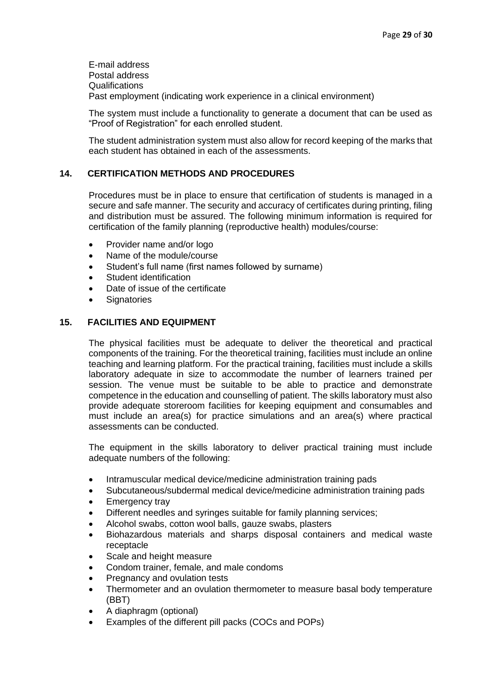E-mail address Postal address Qualifications Past employment (indicating work experience in a clinical environment)

The system must include a functionality to generate a document that can be used as "Proof of Registration" for each enrolled student.

The student administration system must also allow for record keeping of the marks that each student has obtained in each of the assessments.

#### <span id="page-29-0"></span>**14. CERTIFICATION METHODS AND PROCEDURES**

Procedures must be in place to ensure that certification of students is managed in a secure and safe manner. The security and accuracy of certificates during printing, filing and distribution must be assured. The following minimum information is required for certification of the family planning (reproductive health) modules/course:

- Provider name and/or logo
- Name of the module/course
- Student's full name (first names followed by surname)
- Student identification
- Date of issue of the certificate
- Signatories

#### <span id="page-29-1"></span>**15. FACILITIES AND EQUIPMENT**

The physical facilities must be adequate to deliver the theoretical and practical components of the training. For the theoretical training, facilities must include an online teaching and learning platform. For the practical training, facilities must include a skills laboratory adequate in size to accommodate the number of learners trained per session. The venue must be suitable to be able to practice and demonstrate competence in the education and counselling of patient. The skills laboratory must also provide adequate storeroom facilities for keeping equipment and consumables and must include an area(s) for practice simulations and an area(s) where practical assessments can be conducted.

The equipment in the skills laboratory to deliver practical training must include adequate numbers of the following:

- Intramuscular medical device/medicine administration training pads
- Subcutaneous/subdermal medical device/medicine administration training pads
- **Emergency tray**
- Different needles and syringes suitable for family planning services;
- Alcohol swabs, cotton wool balls, gauze swabs, plasters
- Biohazardous materials and sharps disposal containers and medical waste receptacle
- Scale and height measure
- Condom trainer, female, and male condoms
- Pregnancy and ovulation tests
- Thermometer and an ovulation thermometer to measure basal body temperature (BBT)
- A diaphragm (optional)
- Examples of the different pill packs (COCs and POPs)